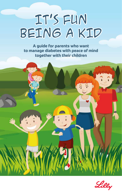# IT'S FUN BEING A KID

**A guide for parents who want to manage diabetes with peace of mind together with their children**

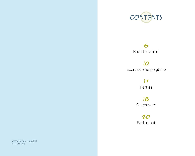

### 6 Back to school

10 Exercise and playtime

> 14 Parties

18 Sleepovers

20 Eating out

Second Edition - May 2018 PP-LD-IT-0736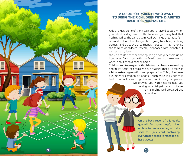

#### **A GUIDE FOR PARENTS WHO WANT TO BRING THEIR CHILDREN WITH DIABETES BACK TO A NORMAL LIFE**

Kids are kids; some of them turn out to have diabetes. When your child is diagnosed with diabetes, you may feel that nothing will be the same again. At first, things that most families and children take for granted - going to school, birthday parties, and sleepovers at friends' houses – may terrorise the families of children recently diagnosed with diabetes. It was easier to leave

the kids to do sport or dancing and go and pick them up an hour later. Eating out with the family used to mean less to worry about than dinner at home.

Children and teenagers with diabetes can have a rewarding, happy life once their families have realised that all it takes is a bit of extra organisation and preparation. This guide takes a number of common situations – such as taking your child back to school or sending him/her to a birthday party – and

> will provide you with hints to help you and your child get back to life as normal feeling well prepared and confident.

On the back cover of this guide, you will find some helpful hints on how to prepare a bag or rucksack for your child containing everything needed to manage his/ her diabetes.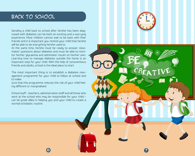## Back to school

Sending a child back to school after he/she has been diagnosed with diabetes can be both an exciting and a worrying experience. Most children cannot wait to be back with their friends and it is important you remind your child that he/she will be able to do everything he/she used to.

At the same time, he/she must be ready to answer classmates' questions about diabetes and must be able to monitor his/her glycaemia and administer insulin on his/her own. Learning how to manage diabetes outside the home is an important step for your child. With the help of conscientious friends and adults, school is the ideal place to start.

The most important thing is to establish a diabetes management programme for your child to follow at school and to make

sure that this programme reduces the risk of your child feeling different or marginalised.

School staff – teachers, administration staff and all those who work at the school who may be responsible for your child – can be great allies in helping you and your child to create a normal scholastic routine.

6 7 April 1998 - 1999 - 1999 - 1999 - 1999 - 1999 - 1999 - 1999 - 1999 - 1999 - 1999 - 1999 - 1999 - 1999 - 1<br>1999 - 1999 - 1999 - 1999 - 1999 - 1999 - 1999 - 1999 - 1999 - 1999 - 1999 - 1999 - 1999 - 1999 - 1999 - 1999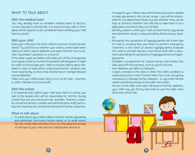#### WHAT TO TALK ABOUT

#### With the medical team

You may already have an excellent medical team of doctors, nurses, educators and the like. It is important you talk to them about all the aspects to be considered when sending your child back to school.

#### With your child

Does your child want the other children to know he/she has diabetes? Try and find out whether your child is comfortable when talking to others about diabetes and teach him/her how to answer classmates' questions or concerns.

If the other pupils are better informed, part of the strangeness and mystery that surrounds the situation will disappear. It might be useful to encourage your child to practise talking about diabetes in class, to help others understand his/her condition and, most importantly, to show that he/she hasn't changed despite having diabetes!

Make sure your child knows who to turn to for help – teachers or other members of school staff.

#### With the school

It is essential that, before your child goes back to school, you talk to the people who will be responsible for him/her during school time and any extracurricular activities. Teachers, coaches, school bus drivers, canteen and administrative staff, particularly the head teacher, should be informed of his/her treatment.

#### What to talk about

• To what extent your child is able to monitor his/her glycaemia and administer the insulin he/she needs, or to what extent he/ she needs help and who to turn to: this depends greatly on the age of your child and how independent he/she is.

- Arrange for your child to have all the food and snacks needed to keep glycaemia in the correct range – you will be responsible for providing these foods, but ask whether they can be kept at school or whether the child has to take them in on a daily basis and where they can be kept.
- Identify a place in which your child can test his/her glycaemia and administer insulin, a place providing all the privacy needed.
- Recognise the symptoms of hypoglycaemia and know how to treat it, including how and when to perform emergency treatment in the event of severe hypoglycaemia. Evaluate the need to provide teachers and school staff with a document describing the symptoms of hypoglycaemia and hyperglycaemia.
- Establish a programme for school outings and events that take place off the premises, such as sports fixtures.
- How diabetes can affect schoolwork.
- Create a climate in the class in which the child's condition is understood and in which he/she feels free to do everything necessary to manage his/her diabetes - to say when he/she needs something and go to the toilet more often.
- Access to the toilet and water: Because of his/her diabetes, your child may get thirsty and need to use the toilet more often than other kids.

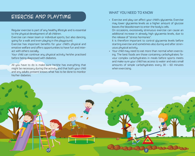## ExErcisE and playtimE

Regular exercise is part of any healthy lifestyle and is essential to the physical development of all children.

Exercise can mean team or individual sports, but also dancing, going for a walk and even playing in the playground.

Exercise has important benefits for your child's physical and emotive welfare and offers opportunities to have fun and interact with others socially.

Your child can continue any physical activity he/she practised before being diagnosed with diabetes.

All you have to do is make sure he/she has everything that might be necessary during the activity and that both your child and any adults present knows what has to be done to monitor his/her diabetes.

#### WHAT YOU NEED TO KNOW

• Exercise and play can affect your child's glycaemia. Exercise may lower glycaemia levels as a higher amount of glucose leaves the bloodstream to enter the body's cells.

On occasions, excessively strenuous exercise can cause an additional increase in already high glycaemia levels, due to the release of "stress hormones".

It is therefore important to control glycaemia levels before starting exercise and sometimes also during and after strenuous physical activity.

• Your child may need to eat more than normal when exercising. The best foods are those containing carbohydrates: favour complex carbohydrates in meals before sports meets and make sure your child has access to water and eats small amounts of simple carbohydrates every 30 – 60 minutes when exercising.

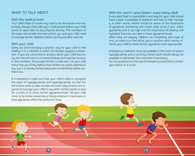#### WHAT TO TALK ABOUT

#### With the medical team

Your child's dose of insulin may need to be decreased when exercising. Always check with your medical team before your child starts or goes back to any physical activity. The members of the team will provide the instructions you and your child need to manage his/her diabetes before, during and after exercise.

#### With your child

Going out and exercising is another way for your child to feel healthy. It is a moment in which the family's support is important. If you are concerned or anxious about your child exercising, he/ she will catch on to these feelings and may feel nervous or less confident. Encourage him/her to take part. Let your child know that you firmly believe that he/she has great potential in any sport or activity he/she takes part in and he/she will be confident too.

It is essential to make sure that your child is able to recognise the signs of hypoglycaemia and hyperglycaemia, so that he/ she knows when to take a break and which adjustments are required. Encourage your child to say when he/she needs to stop for a snack or to check his/her glycaemia levels. Tell your child never to be embarrassed about doing whatever is necessary to keep glycaemia within the preferred range.

With the coach/ camp leader/ supervising adult Every adult that is responsible in any way for your child should have a basic knowledge of diabetes and how to help manage it; in other words, he/she should be aware of the importance of glycaemia monitoring and insulin, what to do if your child's glycaemia level is too high and the importance of keeping well hydrated. Exercise can raise or lower glycaemia levels. When they are playing, children can completely lose track of time, so make sure that either you or another adult nearby reminds your child to check his/her glycaemia when appropriate.

Emergency treatment must be available in the event of severe hypoglycaemia and a correctly trained adult should always be available to administer the treatment if necessary. For any questions on the use of emergency treatments, contact

your doctor or a nurse.

 $12$  13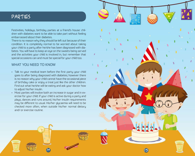## partiEs

Festivities, holidays, birthday parties at a friend's house: children with diabetes want to be able to take part without feeling embarrassed about their diabetes.

There is no reason why they should be left out because of their condition. It is completely normal to be worried about taking your child to a party after he/she has been diagnosed with diabetes. You will have to keep an eye on the sweets being served and the activities your child is involved in, but remember that special occasions can and must be special for your child too.

#### WHAT YOU NEED TO KNOW

- Talk to your medical team before the first party your child goes to after being diagnosed with diabetes; however there is no reason why your child cannot have the occasional piece of birthday cake or enjoy a treat just like the other children. Find out what he/she will be eating and ask your doctor how to adjust his/her insulin.
- Most parties will involve both an increase in sugar and in exercise for your child. If your child is active during a party and plays, dances and runs around, his/her insulin requirements may be different to usual. His/her glycaemia will need to be checked more often, when outside his/her normal dietary and/ or exercise routine.

14 15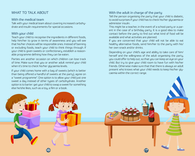#### WHAT TO TALK ABOUT

#### With the medical team

Talk with your medical team about covering increased carbohydrate and insulin requirements for special occasions.

#### With your child

Teach your child to recognise the ingredients in different foods, help him/her to grow in terms of awareness and you will see that his/her choices will be responsible ones. Instead of banning or excluding foods, teach your child to think things through. If your child is given sweets or confectionary, establish a reasonable programme defining how they can be eaten.

Parties are another occasion on which children can lose track of time. Make sure that you or another adult remind your child when it's time to check his/her glycaemia levels.

If your child comes home with a bag of sweets (which is better than being offered a handful of sweets at the party), agree on a "sweet programme". One option is to allow your child just one sweet a day instead of other types of carbohydrate. Another option is to barter: get your child to swap a sweet for something else he/she likes, such as a toy, a film or a book.

#### With the adult in charge of the party

Tell the person organising the party that your child is diabetic, to avoid surprises if your child has to check his/her glycaemia or administer insulin.

This might be a teacher, in the event of a school party or a parent in the case of a birthday party. It is a good idea to make contact before the party to find out what kind of food will be available and what activities are planned.

If you are concerned that your child will not be able to eat healthy alternative foods, send him/her to the party with his/ her own snack and/or drinks.

Depending on your child's age and ability to take care of him/ herself and the willingness of the adult organising the party, you could offer to help out, so that you can keep an eye on your child. But try to give your child room to have fun with his/her friends. Otherwise make sure that that there is always an adult present who knows what your child needs to keep his/her glycaemia within the correct range.

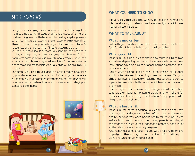## slEEpovErs

Everyone likes staying over at a friend's house, but it might be the first time your child stays at a friend's house after he/she has been diagnosed with diabetes. This is a big step for you as a parent, but it is also an exciting and fun experience for your child. Think about what happens when you sleep over at a friend's house: lots of games, laughter, films, fun, staying up late …

You and your child should prepare yourselves by thinking about the impact staying up late can have on glycaemia levels. A night away from home is, of course, a much more complex issue than a day at school; however you will use lots of the same strategies to make it more feasible. And your child will be able to truly enjoy it.

Encourage your child to take part in teaching camps organised by your diabetes team; this will allow him/her to gain experience autonomously in a protected environment, so that he/she will be more confident when it comes to a sleepover or staying at someone else's house.



#### WHAT YOU NEED TO KNOW

It is very likely that your child will stay up later than normal and it is therefore a good idea to provide a late-night snack in case his/her glucaemia drops.

#### WHAT TO TALK ABOUT

#### With the medical team

Talk with your medical team about how to adjust insulin and food for the night on which your child will be up late.

#### With your child

Make sure your child is clear about how much insulin to take and when, depending on his/her glycaemia levels. Write these instructions down on a piece of paper, adding emergency telephone numbers.

Talk to your child and explain how to monitor his/her glucose and how to take insulin, even if you are not present. Tell your child that if he/she likes, you will ask the host parents to provide a place, for example a bathroom, in which he/she can have a bit of privacy.

This is a good time to make sure that your child remembers to follow the glycaemia monitoring programme. With all the fun and excitement of sleeping over at a friend's help, your child is likely to lose track of time.

#### With the host family

Make sure the parents hosting your child for the night know that your child is diabetic and what he/she needs to do to manage his/her diabetes, when he/she has to eat, take insulin, etc. Write a list of instructions for the hosting parents, including all the steps to be taken in the event of an emergency and a list of all the telephone numbers they may need.

Also remember to do everything you would for any other kind of party, in other words, find out what kind of food will be provided and what activities are planned.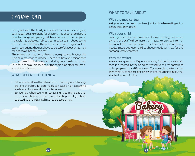## Eating out

Eating out with the family is a special occasion for everyone, but it is particularly exciting for children. This experience doesn't have to change completely just because one of the people at the table has diabetes. Talk to your medical team about eating out, for most children with diabetes, there are no significant dietary restrictions: they just have to be careful about what they eat and make healthy choices.

This means that you do not have to worry too much about the type of restaurant to choose. There are, however, things that you can bear in mind before and during your meal out, to help your child to enjoy dinner and at the same time efficiently manage his/her diabetes.

#### WHAT YOU NEED TO KNOW

- Fats can slow down the rate at which the body absorbs sugars and therefore fat-rich meals can cause high glycaemia levels even for several hours after a meal.
- Sometimes, when eating in restaurants, you might eat later than usual. There is no problem with eating late if you have adjusted your child's insulin schedule accordingly.

#### WHAT TO TALK ABOUT

#### With the medical team

Ask your medical team how to adjust insulin when eating out or eating later than usual.

#### With your child

Teach your child to ask questions. If asked politely, restaurant owners and staff will be more than happy to provide information about the food on the menu or to cater for special dietary needs. Encourage your child to choose foods with low fat and carbohy- drate contents.

#### With the waiter

Always ask questions. If you are unsure, find out how a certain food is prepared. Never be embarrassed to ask for something to be prepared in a different way (for example roasted rather than fried) or to replace one dish with another, for example, vegetables instead of chips.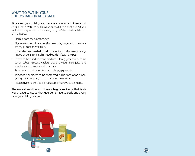#### WHAT TO PUT IN YOUR CHILD'S BAG OR RUCKSACK

Wherever your child goes, there are a number of essential things that he/she should always carry. Here is a list to help you makes sure your child has everything he/she needs while out of the house:

- Medical card for emergencies
- Glycaemia control devices (for example, fingerstick, reactive strips, glucose meter, diary)
- Other devices needed to administer insulin (for example syringes or pens for insulin, needles, disinfectant wipes)
- Foods to be used to treat medium low glycaemia such as sugar cubes, glucose tablets, sugar sweets, fruit juice and snacks such as rusks and crackers
- Emergency treatment for severe hypoglycaemia
- Telephone numbers to be contacted in the case of an emergency, for example your mobile or office number
- Alternative snacks/food if replacements have to be made.

The easiest solution is to have a bag or rucksack that is always ready to go, so that you don't have to pack one every time your child goes out.